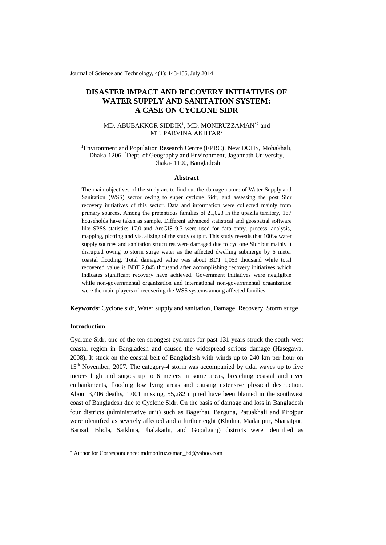Journal of Science and Technology, 4(1): 143-155, July 2014

# **DISASTER IMPACT AND RECOVERY INITIATIVES OF WATER SUPPLY AND SANITATION SYSTEM: A CASE ON CYCLONE SIDR**

# MD. ABUBAKKOR SIDDIK<sup>1</sup>, MD. MONIRUZZAMAN<sup>\*2</sup> and MT. PARVINA AKHTAR<sup>2</sup>

<sup>1</sup>Environment and Population Research Centre (EPRC), New DOHS, Mohakhali, Dhaka-1206, <sup>2</sup>Dept. of Geography and Environment, Jagannath University, Dhaka- 1100, Bangladesh

### **Abstract**

The main objectives of the study are to find out the damage nature of Water Supply and Sanitation (WSS) sector owing to super cyclone Sidr; and assessing the post Sidr recovery initiatives of this sector. Data and information were collected mainly from primary sources. Among the pretentious families of 21,023 in the upazila territory, 167 households have taken as sample. Different advanced statistical and geospatial software like SPSS statistics 17.0 and ArcGIS 9.3 were used for data entry, process, analysis, mapping, plotting and visualizing of the study output. This study reveals that 100% water supply sources and sanitation structures were damaged due to cyclone Sidr but mainly it disrupted owing to storm surge water as the affected dwelling submerge by 6 meter coastal flooding. Total damaged value was about BDT 1,053 thousand while total recovered value is BDT 2,845 thousand after accomplishing recovery initiatives which indicates significant recovery have achieved. Government initiatives were negligible while non-governmental organization and international non-governmental organization were the main players of recovering the WSS systems among affected families.

**Keywords**: Cyclone sidr, Water supply and sanitation, Damage, Recovery, Storm surge

## **Introduction**

-

Cyclone Sidr, one of the ten strongest cyclones for past 131 years struck the south-west coastal region in Bangladesh and caused the widespread serious damage (Hasegawa, 2008). It stuck on the coastal belt of Bangladesh with winds up to 240 km per hour on 15th November, 2007. The category-4 storm was accompanied by tidal waves up to five meters high and surges up to 6 meters in some areas, breaching coastal and river embankments, flooding low lying areas and causing extensive physical destruction. About 3,406 deaths, 1,001 missing, 55,282 injured have been blamed in the southwest coast of Bangladesh due to Cyclone Sidr. On the basis of damage and loss in Bangladesh four districts (administrative unit) such as Bagerhat, Barguna, Patuakhali and Pirojpur were identified as severely affected and a further eight (Khulna, Madaripur, Shariatpur, Barisal, Bhola, Satkhira, Jhalakathi, and Gopalganj) districts were identified as

<sup>\*</sup> Author for Correspondence: [mdmoniruzzaman\\_bd@yahoo.com](mailto:mdmoniruzzaman_bd@yahoo.com)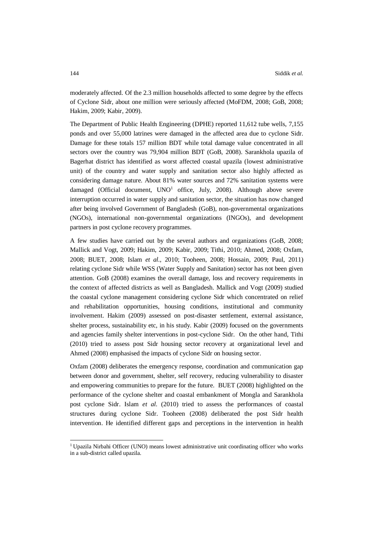moderately affected. Of the 2.3 million households affected to some degree by the effects of Cyclone Sidr, about one million were seriously affected (MoFDM, 2008; GoB, 2008; Hakim, 2009; Kabir, 2009).

The Department of Public Health Engineering (DPHE) reported 11,612 tube wells, 7,155 ponds and over 55,000 latrines were damaged in the affected area due to cyclone Sidr. Damage for these totals 157 million BDT while total damage value concentrated in all sectors over the country was 79,904 million BDT (GoB, 2008). Sarankhola upazila of Bagerhat district has identified as worst affected coastal upazila (lowest administrative unit) of the country and water supply and sanitation sector also highly affected as considering damage nature. About 81% water sources and 72% sanitation systems were damaged (Official document,  $UNO<sup>1</sup>$  office, July, 2008). Although above severe interruption occurred in water supply and sanitation sector, the situation has now changed after being involved Government of Bangladesh (GoB), non-governmental organizations (NGOs), international non-governmental organizations (INGOs), and development partners in post cyclone recovery programmes.

A few studies have carried out by the several authors and organizations (GoB, 2008; Mallick and Vogt, 2009; Hakim, 2009; Kabir, 2009; Tithi, 2010; Ahmed, 2008; Oxfam, 2008; BUET, 2008; Islam *et al.,* 2010; Tooheen, 2008; Hossain, 2009; Paul, 2011) relating cyclone Sidr while WSS (Water Supply and Sanitation) sector has not been given attention. GoB (2008) examines the overall damage, loss and recovery requirements in the context of affected districts as well as Bangladesh. Mallick and Vogt (2009) studied the coastal cyclone management considering cyclone Sidr which concentrated on relief and rehabilitation opportunities, housing conditions, institutional and community involvement. Hakim (2009) assessed on post-disaster settlement, external assistance, shelter process, sustainability etc, in his study. Kabir (2009) focused on the governments and agencies family shelter interventions in post-cyclone Sidr. On the other hand, Tithi (2010) tried to assess post Sidr housing sector recovery at organizational level and Ahmed (2008) emphasised the impacts of cyclone Sidr on housing sector.

Oxfam (2008) deliberates the emergency response, coordination and communication gap between donor and government, shelter, self recovery, reducing vulnerability to disaster and empowering communities to prepare for the future. BUET (2008) highlighted on the performance of the cyclone shelter and coastal embankment of Mongla and Sarankhola post cyclone Sidr. Islam *et al*. (2010) tried to assess the performances of coastal structures during cyclone Sidr. Tooheen (2008) deliberated the post Sidr health intervention. He identified different gaps and perceptions in the intervention in health

-

<sup>&</sup>lt;sup>1</sup> Upazila Nirbahi Officer (UNO) means lowest administrative unit coordinating officer who works in a sub-district called upazila.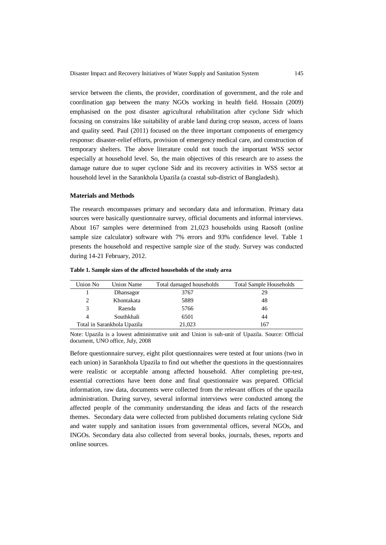service between the clients, the provider, coordination of government, and the role and coordination gap between the many NGOs working in health field. Hossain (2009) emphasised on the post disaster agricultural rehabilitation after cyclone Sidr which focusing on constrains like suitability of arable land during crop season, access of loans and quality seed. Paul (2011) focused on the three important components of emergency response: disaster-relief efforts, provision of emergency medical care, and construction of temporary shelters. The above literature could not touch the important WSS sector especially at household level. So, the main objectives of this research are to assess the damage nature due to super cyclone Sidr and its recovery activities in WSS sector at household level in the Sarankhola Upazila (a coastal sub-district of Bangladesh).

#### **Materials and Methods**

The research encompasses primary and secondary data and information. Primary data sources were basically questionnaire survey, official documents and informal interviews. About 167 samples were determined from 21,023 households using Raosoft (online sample size calculator) software with 7% errors and 93% confidence level. Table 1 presents the household and respective sample size of the study. Survey was conducted during 14-21 February, 2012.

| Union No                    | <b>Union Name</b> | Total damaged households | <b>Total Sample Households</b> |
|-----------------------------|-------------------|--------------------------|--------------------------------|
|                             | Dhansagor         | 3767                     | 29                             |
| 2                           | Khontakata        | 5889                     | 48                             |
| 3                           | Raenda            | 5766                     | 46                             |
| 4                           | Southkhali        | 6501                     | 44                             |
| Total in Sarankhola Upazila |                   | 21,023                   | 167                            |

**Table 1. Sample sizes of the affected households of the study area**

Note: Upazila is a lowest administrative unit and Union is sub-unit of Upazila. Source: Official document, UNO office, July, 2008

Before questionnaire survey, eight pilot questionnaires were tested at four unions (two in each union) in Sarankhola Upazila to find out whether the questions in the questionnaires were realistic or acceptable among affected household. After completing pre-test, essential corrections have been done and final questionnaire was prepared. Official information, raw data, documents were collected from the relevant offices of the upazila administration. During survey, several informal interviews were conducted among the affected people of the community understanding the ideas and facts of the research themes. Secondary data were collected from published documents relating cyclone Sidr and water supply and sanitation issues from governmental offices, several NGOs, and INGOs. Secondary data also collected from several books, journals, theses, reports and online sources.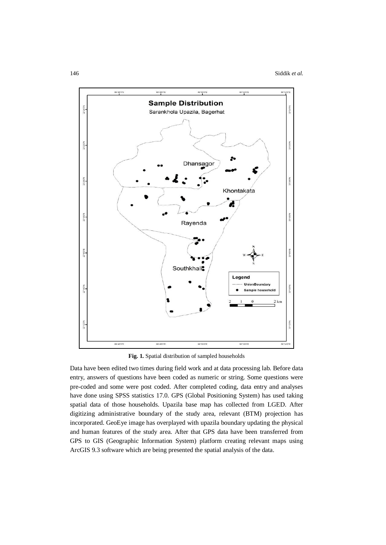

**Fig. 1.** Spatial distribution of sampled households

Data have been edited two times during field work and at data processing lab. Before data entry, answers of questions have been coded as numeric or string. Some questions were pre-coded and some were post coded. After completed coding, data entry and analyses have done using SPSS statistics 17.0. GPS (Global Positioning System) has used taking spatial data of those households. Upazila base map has collected from LGED. After digitizing administrative boundary of the study area, relevant (BTM) projection has incorporated. GeoEye image has overplayed with upazila boundary updating the physical and human features of the study area. After that GPS data have been transferred from GPS to GIS (Geographic Information System) platform creating relevant maps using ArcGIS 9.3 software which are being presented the spatial analysis of the data.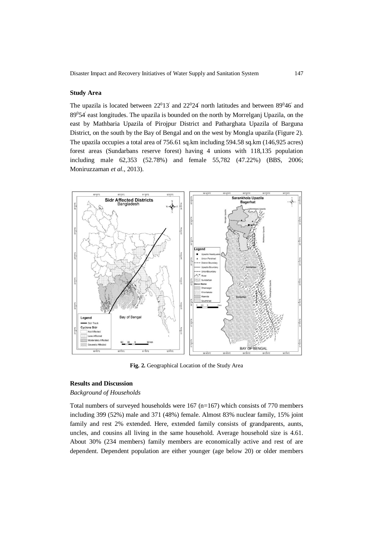#### **Study Area**

The upazila is located between  $22^013'$  and  $22^024'$  north latitudes and between  $89^046'$  and 89<sup>0</sup>54' east longitudes. The upazila is bounded on the north by Morrelganj Upazila, on the east by Mathbaria Upazila of Pirojpur District and Patharghata Upazila of Barguna District, on the south by the Bay of Bengal and on the west by Mongla upazila (Figure 2). The upazila occupies a total area of 756.61 sq.km including 594.58 sq.km (146,925 acres) forest areas (Sundarbans reserve forest) having 4 unions with 118,135 population including male 62,353 (52.78%) and female 55,782 (47.22%) (BBS, 2006; Moniruzzaman *et al.*, 2013).



**Fig. 2.** Geographical Location of the Study Area

# **Results and Discussion**

# *Background of Households*

Total numbers of surveyed households were  $167$  (n=167) which consists of 770 members including 399 (52%) male and 371 (48%) female. Almost 83% nuclear family, 15% joint family and rest 2% extended. Here, extended family consists of grandparents, aunts, uncles, and cousins all living in the same household. Average household size is 4.61. About 30% (234 members) family members are economically active and rest of are dependent. Dependent population are either younger (age below 20) or older members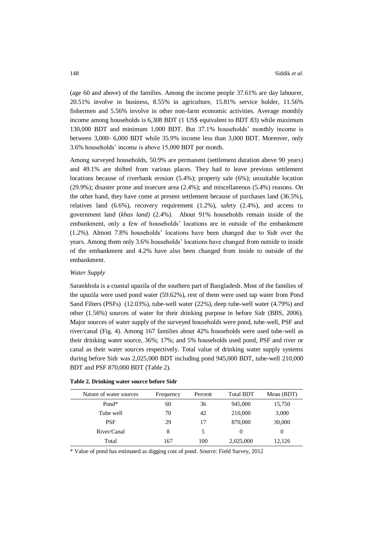(age 60 and above) of the families. Among the income people 37.61% are day labourer, 20.51% involve in business, 8.55% in agriculture, 15.81% service holder, 11.56% fishermen and 5.56% involve in other non-farm economic activities. Average monthly income among households is 6,308 BDT (1 US\$ equivalent to BDT 83) while maximum 130,000 BDT and minimum 1,000 BDT. But 37.1% households' monthly income is between 3,000- 6,000 BDT while 35.9% income less than 3,000 BDT. Moreover, only 3.6% households' income is above 15,000 BDT per month.

Among surveyed households, 50.9% are permanent (settlement duration above 90 years) and 49.1% are shifted from various places. They had to leave previous settlement locations because of riverbank erosion (5.4%); property sale (6%); unsuitable location (29.9%); disaster prone and insecure area (2.4%); and miscellaneous (5.4%) reasons. On the other hand, they have come at present settlement because of purchases land (36.5%), relatives land (6.6%), recovery requirement (1.2%), safety (2.4%), and access to government land (*khas land)* (2.4%). About 91% households remain inside of the embankment, only a few of households' locations are in outside of the embankment (1.2%). Almost 7.8% households' locations have been changed due to Sidr over the years. Among them only 3.6% households' locations have changed from outside to inside of the embankment and 4.2% have also been changed from inside to outside of the embankment.

### *Water Supply*

Sarankhola is a coastal upazila of the southern part of Bangladesh. Most of the families of the upazila were used pond water (59.62%), rest of them were used tap water from Pond Sand Filters (PSFs) (12.03%), tube-well water (22%), deep tube-well water (4.79%) and other (1.56%) sources of water for their drinking purpose in before Sidr (BBS, 2006). Major sources of water supply of the surveyed households were pond, tube-well, PSF and river/canal (Fig. 4). Among 167 families about 42% households were used tube-well as their drinking water source, 36%; 17%; and 5% households used pond, PSF and river or canal as their water sources respectively. Total value of drinking water supply systems during before Sidr was 2,025,000 BDT including pond 945,000 BDT, tube-well 210,000 BDT and PSF 870,000 BDT (Table 2).

| Nature of water sources | Frequency | Percent | <b>Total BDT</b> | Mean (BDT) |
|-------------------------|-----------|---------|------------------|------------|
| Pond*                   | 60        | 36      | 945,000          | 15,750     |
| Tube well               | 70        | 42      | 210,000          | 3,000      |
| <b>PSF</b>              | 29        | 17      | 870,000          | 30,000     |
| River/Canal             | 8         | 5       | $\theta$         | $\Omega$   |
| Total                   | 167       | 100     | 2,025,000        | 12,126     |

#### **Table 2. Drinking water source before Sidr**

\* Value of pond has estimated as digging cost of pond. Source: Field Survey, 2012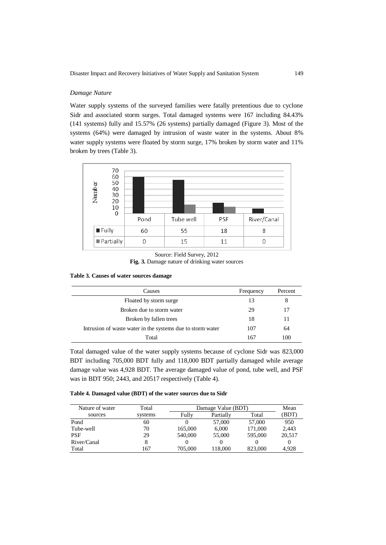# *Damage Nature*

Water supply systems of the surveyed families were fatally pretentious due to cyclone Sidr and associated storm surges. Total damaged systems were 167 including 84.43% (141 systems) fully and 15.57% (26 systems) partially damaged (Figure 3). Most of the systems (64%) were damaged by intrusion of waste water in the systems. About 8% water supply systems were floated by storm surge, 17% broken by storm water and 11% broken by trees (Table 3).



Source: Field Survey, 2012 **Fig. 3.** Damage nature of drinking water sources

**Table 3. Causes of water sources damage**

| Causes                                                     | Frequency | Percent |
|------------------------------------------------------------|-----------|---------|
| Floated by storm surge                                     | 13        | 8       |
| Broken due to storm water                                  | 29        | 17      |
| Broken by fallen trees                                     | 18        | 11      |
| Intrusion of waste water in the systems due to storm water | 107       | 64      |
| Total                                                      | 167       | 100     |

Total damaged value of the water supply systems because of cyclone Sidr was 823,000 BDT including 705,000 BDT fully and 118,000 BDT partially damaged while average damage value was 4,928 BDT. The average damaged value of pond, tube well, and PSF was in BDT 950; 2443, and 20517 respectively (Table 4).

### **Table 4. Damaged value (BDT) of the water sources due to Sidr**

| Nature of water | Total   |         | Damage Value (BDT) |         |        |  |  |
|-----------------|---------|---------|--------------------|---------|--------|--|--|
| sources         | systems | Fully   | Partially          | Total   | (BDT)  |  |  |
| Pond            | 60      |         | 57,000             | 57,000  | 950    |  |  |
| Tube-well       | 70      | 165,000 | 6.000              | 171,000 | 2,443  |  |  |
| <b>PSF</b>      | 29      | 540,000 | 55,000             | 595,000 | 20,517 |  |  |
| River/Canal     |         |         |                    |         |        |  |  |
| Total           | 167     | 705,000 | 118.000            | 823,000 | 4.928  |  |  |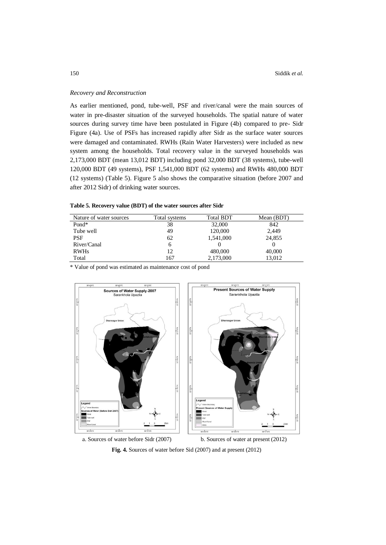### *Recovery and Reconstruction*

As earlier mentioned, pond, tube-well, PSF and river/canal were the main sources of water in pre-disaster situation of the surveyed households. The spatial nature of water sources during survey time have been postulated in Figure (4b) compared to pre- Sidr Figure (4a). Use of PSFs has increased rapidly after Sidr as the surface water sources were damaged and contaminated. RWHs (Rain Water Harvesters) were included as new system among the households. Total recovery value in the surveyed households was 2,173,000 BDT (mean 13,012 BDT) including pond 32,000 BDT (38 systems), tube-well 120,000 BDT (49 systems), PSF 1,541,000 BDT (62 systems) and RWHs 480,000 BDT (12 systems) (Table 5). Figure 5 also shows the comparative situation (before 2007 and after 2012 Sidr) of drinking water sources.

**Table 5. Recovery value (BDT) of the water sources after Sidr**

| Nature of water sources | Total systems | <b>Total BDT</b> | Mean (BDT) |
|-------------------------|---------------|------------------|------------|
| Pond*                   | 38            | 32,000           | 842        |
| Tube well               | 49            | 120,000          | 2,449      |
| PSF                     | 62            | 1,541,000        | 24,855     |
| River/Canal             | 6             |                  |            |
| <b>RWHs</b>             | 12            | 480,000          | 40,000     |
| Total                   | 167           | 2,173,000        | 13,012     |

\* Value of pond was estimated as maintenance cost of pond



a. Sources of water before Sidr (2007) b. Sources of water at present (2012)

**Fig. 4.** Sources of water before Sid (2007) and at present (2012)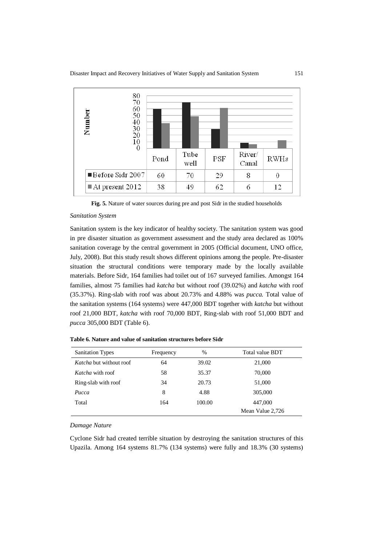

**Fig. 5.** Nature of water sources during pre and post Sidr in the studied households

#### *Sanitation System*

Sanitation system is the key indicator of healthy society. The sanitation system was good in pre disaster situation as government assessment and the study area declared as 100% sanitation coverage by the central government in 2005 (Official document, UNO office, July, 2008). But this study result shows different opinions among the people. Pre-disaster situation the structural conditions were temporary made by the locally available materials. Before Sidr, 164 families had toilet out of 167 surveyed families. Amongst 164 families, almost 75 families had *katcha* but without roof (39.02%) and *katcha* with roof (35.37%). Ring-slab with roof was about 20.73% and 4.88% was *pucca.* Total value of the sanitation systems (164 systems) were 447,000 BDT together with *katcha* but without roof 21,000 BDT, *katcha* with roof 70,000 BDT, Ring-slab with roof 51,000 BDT and *pucca* 305,000 BDT (Table 6).

| <b>Sanitation Types</b>        | Frequency | $\frac{0}{0}$ | Total value BDT  |
|--------------------------------|-----------|---------------|------------------|
| <i>Katcha</i> but without roof | 64        | 39.02         | 21,000           |
| <i>Katcha</i> with roof        | 58        | 35.37         | 70,000           |
| Ring-slab with roof            | 34        | 20.73         | 51,000           |
| Pucca                          | 8         | 4.88          | 305,000          |
| Total                          | 164       | 100.00        | 447,000          |
|                                |           |               | Mean Value 2,726 |

**Table 6. Nature and value of sanitation structures before Sidr**

*Damage Nature*

Cyclone Sidr had created terrible situation by destroying the sanitation structures of this Upazila. Among 164 systems 81.7% (134 systems) were fully and 18.3% (30 systems)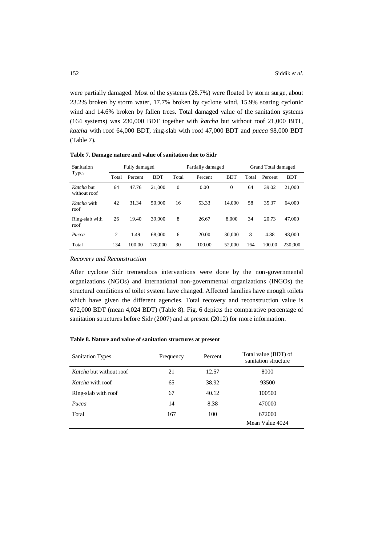were partially damaged. Most of the systems (28.7%) were floated by storm surge, about 23.2% broken by storm water, 17.7% broken by cyclone wind, 15.9% soaring cyclonic wind and 14.6% broken by fallen trees. Total damaged value of the sanitation systems (164 systems) was 230,000 BDT together with *katcha* but without roof 21,000 BDT, *katcha* with roof 64,000 BDT, ring-slab with roof 47,000 BDT and *pucca* 98,000 BDT (Table 7).

| Sanitation                 | Fully damaged |         | Partially damaged |          |         | Grand Total damaged |       |         |            |
|----------------------------|---------------|---------|-------------------|----------|---------|---------------------|-------|---------|------------|
| <b>Types</b>               | Total         | Percent | <b>BDT</b>        | Total    | Percent | <b>BDT</b>          | Total | Percent | <b>BDT</b> |
| Katcha but<br>without roof | 64            | 47.76   | 21,000            | $\theta$ | 0.00    | $\mathbf{0}$        | 64    | 39.02   | 21,000     |
| Katcha with<br>roof        | 42            | 31.34   | 50,000            | 16       | 53.33   | 14.000              | 58    | 35.37   | 64,000     |
| Ring-slab with<br>roof     | 26            | 19.40   | 39,000            | 8        | 26.67   | 8.000               | 34    | 20.73   | 47,000     |
| Pucca                      | 2             | 1.49    | 68,000            | 6        | 20.00   | 30,000              | 8     | 4.88    | 98,000     |
| Total                      | 134           | 100.00  | 178,000           | 30       | 100.00  | 52,000              | 164   | 100.00  | 230,000    |

**Table 7. Damage nature and value of sanitation due to Sidr**

#### *Recovery and Reconstruction*

After cyclone Sidr tremendous interventions were done by the non-governmental organizations (NGOs) and international non-governmental organizations (INGOs) the structural conditions of toilet system have changed. Affected families have enough toilets which have given the different agencies. Total recovery and reconstruction value is 672,000 BDT (mean 4,024 BDT) (Table 8). Fig. 6 depicts the comparative percentage of sanitation structures before Sidr (2007) and at present (2012) for more information.

**Table 8. Nature and value of sanitation structures at present**

| <b>Sanitation Types</b>        | Frequency | Percent | Total value (BDT) of<br>sanitation structure |
|--------------------------------|-----------|---------|----------------------------------------------|
| <i>Katcha</i> but without roof | 21        | 12.57   | 8000                                         |
| <i>Katcha</i> with roof        | 65        | 38.92   | 93500                                        |
| Ring-slab with roof            | 67        | 40.12   | 100500                                       |
| Pucca                          | 14        | 8.38    | 470000                                       |
| Total                          | 167       | 100     | 672000                                       |
|                                |           |         | Mean Value 4024                              |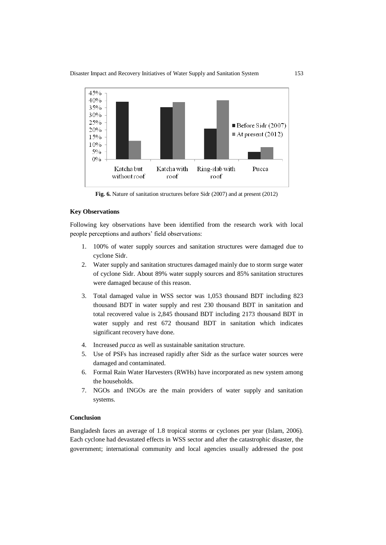

**Fig. 6.** Nature of sanitation structures before Sidr (2007) and at present (2012)

# **Key Observations**

Following key observations have been identified from the research work with local people perceptions and authors' field observations:

- 1. 100% of water supply sources and sanitation structures were damaged due to cyclone Sidr.
- 2. Water supply and sanitation structures damaged mainly due to storm surge water of cyclone Sidr. About 89% water supply sources and 85% sanitation structures were damaged because of this reason.
- 3. Total damaged value in WSS sector was 1,053 thousand BDT including 823 thousand BDT in water supply and rest 230 thousand BDT in sanitation and total recovered value is 2,845 thousand BDT including 2173 thousand BDT in water supply and rest 672 thousand BDT in sanitation which indicates significant recovery have done.
- 4. Increased *pucca* as well as sustainable sanitation structure.
- 5. Use of PSFs has increased rapidly after Sidr as the surface water sources were damaged and contaminated.
- 6. Formal Rain Water Harvesters (RWHs) have incorporated as new system among the households.
- 7. NGOs and INGOs are the main providers of water supply and sanitation systems.

### **Conclusion**

Bangladesh faces an average of 1.8 tropical storms or cyclones per year (Islam, 2006). Each cyclone had devastated effects in WSS sector and after the catastrophic disaster, the government; international community and local agencies usually addressed the post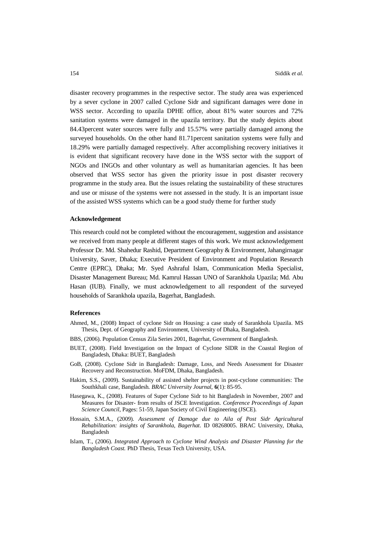disaster recovery programmes in the respective sector. The study area was experienced by a sever cyclone in 2007 called Cyclone Sidr and significant damages were done in WSS sector. According to upazila DPHE office, about 81% water sources and 72% sanitation systems were damaged in the upazila territory. But the study depicts about 84.43percent water sources were fully and 15.57% were partially damaged among the surveyed households. On the other hand 81.71percent sanitation systems were fully and 18.29% were partially damaged respectively. After accomplishing recovery initiatives it is evident that significant recovery have done in the WSS sector with the support of NGOs and INGOs and other voluntary as well as humanitarian agencies. It has been observed that WSS sector has given the priority issue in post disaster recovery programme in the study area. But the issues relating the sustainability of these structures and use or misuse of the systems were not assessed in the study. It is an important issue of the assisted WSS systems which can be a good study theme for further study

#### **Acknowledgement**

This research could not be completed without the encouragement, suggestion and assistance we received from many people at different stages of this work. We must acknowledgement Professor Dr. Md. Shahedur Rashid, Department Geography & Environment, Jahangirnagar University, Saver, Dhaka; Executive President of Environment and Population Research Centre (EPRC), Dhaka; Mr. Syed Ashraful Islam, Communication Media Specialist, Disaster Management Bureau; Md. Kamrul Hassan UNO of Sarankhola Upazila; Md. Abu Hasan (IUB). Finally, we must acknowledgement to all respondent of the surveyed households of Sarankhola upazila, Bagerhat, Bangladesh.

### **References**

- Ahmed, M., (2008) Impact of cyclone Sidr on Housing: a case study of Sarankhola Upazila. MS Thesis, Dept. of Geography and Environment, University of Dhaka, Bangladesh.
- BBS, (2006). Population Census Zila Series 2001, Bagerhat, Government of Bangladesh.
- BUET, (2008). Field Investigation on the Impact of Cyclone SIDR in the Coastal Region of Bangladesh, Dhaka: BUET, Bangladesh
- GoB, (2008). Cyclone Sidr in Bangladesh: Damage, Loss, and Needs Assessment for Disaster Recovery and Reconstruction. MoFDM, Dhaka, Bangladesh.
- Hakim, S.S., (2009). Sustainability of assisted shelter projects in post-cyclone communities: The Southkhali case, Bangladesh. *BRAC University Journal,* **6**(1): 85-95.
- Hasegawa, K., (2008). Features of Super Cyclone Sidr to hit Bangladesh in November, 2007 and Measures for Disaster- from results of JSCE Investigation. *Conference Proceedings of Japan Science Council*, Pages: 51-59, Japan Society of Civil Engineering (JSCE).
- Hossain, S.M.A., (2009). *Assessment of Damage due to Aila of Post Sidr Agricultural Rehabilitation: insights of Sarankhola, Bagerhat*. ID 08268005. BRAC University, Dhaka, Bangladesh
- Islam, T., (2006). *Integrated Approach to Cyclone Wind Analysis and Disaster Planning for the Bangladesh Coast.* PhD Thesis, Texas Tech University, USA.